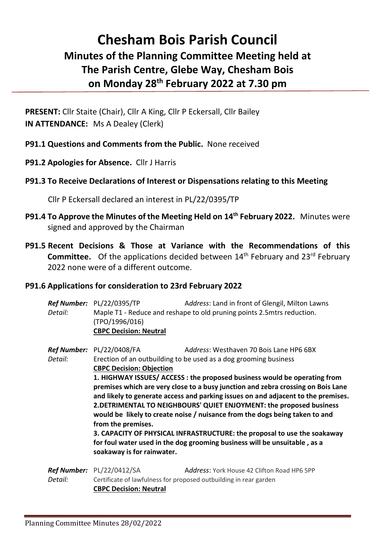## **Chesham Bois Parish Council Minutes of the Planning Committee Meeting held at The Parish Centre, Glebe Way, Chesham Bois on Monday 28th February 2022 at 7.30 pm**

**PRESENT:** Cllr Staite (Chair), Cllr A King, Cllr P Eckersall, Cllr Bailey **IN ATTENDANCE:** Ms A Dealey (Clerk)

**P91.1 Questions and Comments from the Public.** None received

- **P91.2 Apologies for Absence.** Cllr J Harris
- **P91.3 To Receive Declarations of Interest or Dispensations relating to this Meeting**

Cllr P Eckersall declared an interest in PL/22/0395/TP

- **P91.4 To Approve the Minutes of the Meeting Held on 14th February 2022.** Minutes were signed and approved by the Chairman
- **P91.5 Recent Decisions & Those at Variance with the Recommendations of this Committee.** Of the applications decided between 14<sup>th</sup> February and 23<sup>rd</sup> February 2022 none were of a different outcome.

## **P91.6 Applications for consideration to 23rd February 2022**

*Ref Number:* PL/22/0395/TP **Address: Land in front of Glengil, Milton Lawns** *Detail:* Maple T1 - Reduce and reshape to old pruning points 2.5mtrs reduction. (TPO/1996/016) **CBPC Decision: Neutral**

*Ref Number:* PL/22/0408/FA A*ddress*: Westhaven 70 Bois Lane HP6 6BX *Detail:* Erection of an outbuilding to be used as a dog grooming business **CBPC Decision: Objection 1. HIGHWAY ISSUES/ ACCESS : the proposed business would be operating from premises which are very close to a busy junction and zebra crossing on Bois Lane and likely to generate access and parking issues on and adjacent to the premises. 2.DETRIMENTAL TO NEIGHBOURS' QUIET ENJOYMENT: the proposed business would be likely to create noise / nuisance from the dogs being taken to and from the premises. 3. CAPACITY OF PHYSICAL INFRASTRUCTURE: the proposal to use the soakaway for foul water used in the dog grooming business will be unsuitable , as a soakaway is for rainwater.**

|         | <b>CBPC Decision: Neutral</b>                                     |                                             |  |
|---------|-------------------------------------------------------------------|---------------------------------------------|--|
| Detail: | Certificate of lawfulness for proposed outbuilding in rear garden |                                             |  |
|         | Ref Number: PL/22/0412/SA                                         | Address: York House 42 Clifton Road HP6 5PP |  |